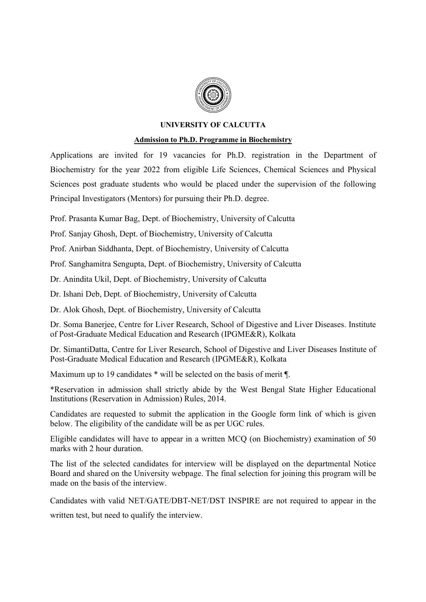

### UNIVERSITY OF CALCUTTA

### Admission to Ph.D. Programme in Biochemistry

Applications are invited for 19 vacancies for Ph.D. registration in the Department of Biochemistry for the year 2022 from eligible Life Sciences, Chemical Sciences and Physical Sciences post graduate students who would be placed under the supervision of the following Principal Investigators (Mentors) for pursuing their Ph.D. degree.

Prof. Prasanta Kumar Bag, Dept. of Biochemistry, University of Calcutta

Prof. Sanjay Ghosh, Dept. of Biochemistry, University of Calcutta

Prof. Anirban Siddhanta, Dept. of Biochemistry, University of Calcutta

Prof. Sanghamitra Sengupta, Dept. of Biochemistry, University of Calcutta

Dr. Anindita Ukil, Dept. of Biochemistry, University of Calcutta

Dr. Ishani Deb, Dept. of Biochemistry, University of Calcutta

Dr. Alok Ghosh, Dept. of Biochemistry, University of Calcutta

Dr. Soma Banerjee, Centre for Liver Research, School of Digestive and Liver Diseases. Institute of Post-Graduate Medical Education and Research (IPGME&R), Kolkata

Dr. SimantiDatta, Centre for Liver Research, School of Digestive and Liver Diseases Institute of Post-Graduate Medical Education and Research (IPGME&R), Kolkata

Maximum up to 19 candidates \* will be selected on the basis of merit ¶.

\*Reservation in admission shall strictly abide by the West Bengal State Higher Educational Institutions (Reservation in Admission) Rules, 2014.

Candidates are requested to submit the application in the Google form link of which is given below. The eligibility of the candidate will be as per UGC rules.

Eligible candidates will have to appear in a written MCQ (on Biochemistry) examination of 50 marks with 2 hour duration.

The list of the selected candidates for interview will be displayed on the departmental Notice Board and shared on the University webpage. The final selection for joining this program will be made on the basis of the interview.

Candidates with valid NET/GATE/DBT-NET/DST INSPIRE are not required to appear in the

written test, but need to qualify the interview.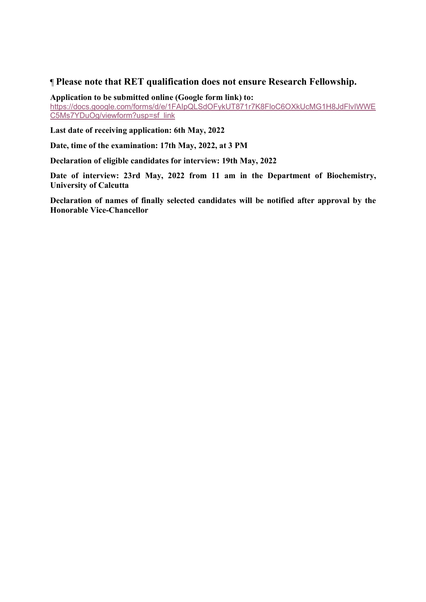# ¶ Please note that RET qualification does not ensure Research Fellowship.

Application to be submitted online (Google form link) to:

https://docs.google.com/forms/d/e/1FAIpQLSdOFykUT871r7K8FloC6OXkUcMG1H8JdFlvIWWE C5Ms7YDuOg/viewform?usp=sf\_link

Last date of receiving application: 6th May, 2022

Date, time of the examination: 17th May, 2022, at 3 PM

Declaration of eligible candidates for interview: 19th May, 2022

Date of interview: 23rd May, 2022 from 11 am in the Department of Biochemistry, University of Calcutta

Declaration of names of finally selected candidates will be notified after approval by the Honorable Vice-Chancellor